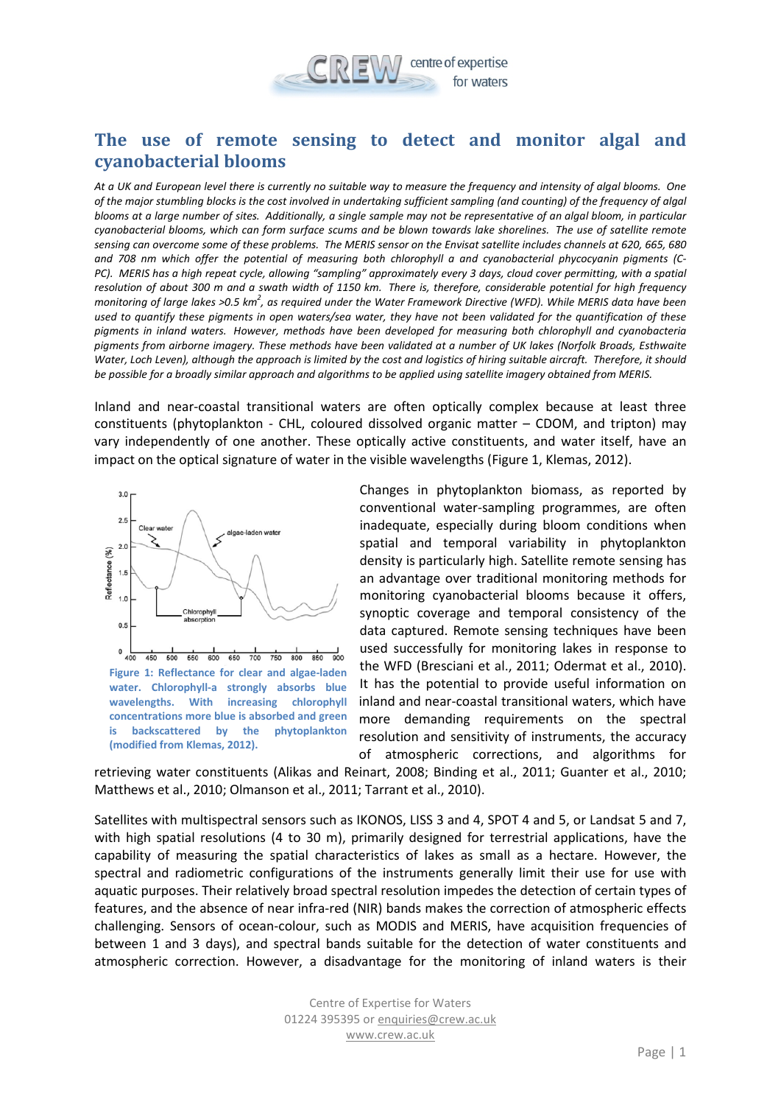

## **The use of remote sensing to detect and monitor algal and cyanobacterial blooms**

*At a UK and European level there is currently no suitable way to measure the frequency and intensity of algal blooms. One of the major stumbling blocks is the cost involved in undertaking sufficient sampling (and counting) of the frequency of algal blooms at a large number of sites. Additionally, a single sample may not be representative of an algal bloom, in particular cyanobacterial blooms, which can form surface scums and be blown towards lake shorelines. The use of satellite remote sensing can overcome some of these problems. The MERIS sensor on the Envisat satellite includes channels at 620, 665, 680 and 708 nm which offer the potential of measuring both chlorophyll a and cyanobacterial phycocyanin pigments (C-PC). MERIS has a high repeat cycle, allowing "sampling" approximately every 3 days, cloud cover permitting, with a spatial resolution of about 300 m and a swath width of 1150 km. There is, therefore, considerable potential for high frequency*  monitoring of large lakes >0.5 km<sup>2</sup>, as required under the Water Framework Directive (WFD). While MERIS data have been *used to quantify these pigments in open waters/sea water, they have not been validated for the quantification of these pigments in inland waters. However, methods have been developed for measuring both chlorophyll and cyanobacteria pigments from airborne imagery. These methods have been validated at a number of UK lakes (Norfolk Broads, Esthwaite Water, Loch Leven), although the approach is limited by the cost and logistics of hiring suitable aircraft. Therefore, it should be possible for a broadly similar approach and algorithms to be applied using satellite imagery obtained from MERIS.*

Inland and near-coastal transitional waters are often optically complex because at least three constituents (phytoplankton - CHL, coloured dissolved organic matter – CDOM, and tripton) may vary independently of one another. These optically active constituents, and water itself, have an impact on the optical signature of water in the visible wavelengths (Figure 1, Klemas, 2012).



 $0\frac{1}{400}$ 450 500 550 600 650 700 750 800 850 900 **Figure 1: Reflectance for clear and algae-laden water. Chlorophyll-a strongly absorbs blue wavelengths. With increasing chlorophyll concentrations more blue is absorbed and green is backscattered by the phytoplankton (modified from Klemas, 2012).**

Changes in phytoplankton biomass, as reported by conventional water-sampling programmes, are often inadequate, especially during bloom conditions when spatial and temporal variability in phytoplankton density is particularly high. Satellite remote sensing has an advantage over traditional monitoring methods for monitoring cyanobacterial blooms because it offers, synoptic coverage and temporal consistency of the data captured. Remote sensing techniques have been used successfully for monitoring lakes in response to the WFD (Bresciani et al., 2011; Odermat et al., 2010). It has the potential to provide useful information on inland and near-coastal transitional waters, which have more demanding requirements on the spectral resolution and sensitivity of instruments, the accuracy of atmospheric corrections, and algorithms for

retrieving water constituents (Alikas and Reinart, 2008; Binding et al., 2011; Guanter et al., 2010; Matthews et al., 2010; Olmanson et al., 2011; Tarrant et al., 2010).

Satellites with multispectral sensors such as IKONOS, LISS 3 and 4, SPOT 4 and 5, or Landsat 5 and 7, with high spatial resolutions (4 to 30 m), primarily designed for terrestrial applications, have the capability of measuring the spatial characteristics of lakes as small as a hectare. However, the spectral and radiometric configurations of the instruments generally limit their use for use with aquatic purposes. Their relatively broad spectral resolution impedes the detection of certain types of features, and the absence of near infra-red (NIR) bands makes the correction of atmospheric effects challenging. Sensors of ocean-colour, such as MODIS and MERIS, have acquisition frequencies of between 1 and 3 days), and spectral bands suitable for the detection of water constituents and atmospheric correction. However, a disadvantage for the monitoring of inland waters is their

> <span id="page-0-0"></span>Centre of Expertise for Waters 01224 395395 or [enquiries@crew.ac.uk](mailto:enquiries@crew.ac.uk) [www.crew.ac.uk](http://www.crew.ac.uk/)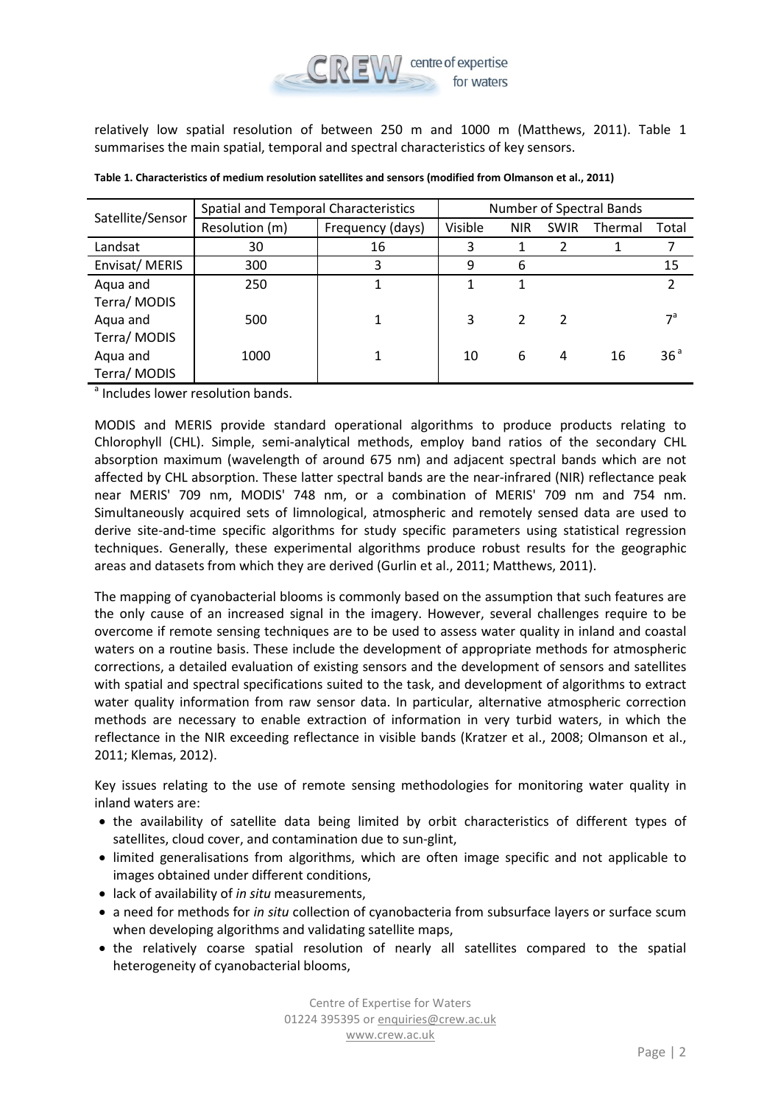

relatively low spatial resolution of between 250 m and 1000 m (Matthews, 2011). [Table 1](#page-0-0) summarises the main spatial, temporal and spectral characteristics of key sensors.

| Satellite/Sensor | Spatial and Temporal Characteristics |                  | Number of Spectral Bands |            |                |         |                 |
|------------------|--------------------------------------|------------------|--------------------------|------------|----------------|---------|-----------------|
|                  | Resolution (m)                       | Frequency (days) | Visible                  | <b>NIR</b> | <b>SWIR</b>    | Thermal | Total           |
| Landsat          | 30                                   | 16               |                          |            |                |         |                 |
| Envisat/MERIS    | 300                                  | 3                | 9                        | 6          |                |         | 15              |
| Aqua and         | 250                                  |                  |                          | 1          |                |         | 2               |
| Terra/MODIS      |                                      |                  |                          |            |                |         |                 |
| Aqua and         | 500                                  |                  | 3                        | 2          | $\overline{2}$ |         | $7^{\rm a}$     |
| Terra/MODIS      |                                      |                  |                          |            |                |         |                 |
| Aqua and         | 1000                                 |                  | 10                       | 6          | 4              | 16      | 36 <sup>a</sup> |
| Terra/ MODIS     |                                      |                  |                          |            |                |         |                 |

<sup>a</sup> Includes lower resolution bands.

MODIS and MERIS provide standard operational algorithms to produce products relating to Chlorophyll (CHL). Simple, semi-analytical methods, employ band ratios of the secondary CHL absorption maximum (wavelength of around 675 nm) and adjacent spectral bands which are not affected by CHL absorption. These latter spectral bands are the near-infrared (NIR) reflectance peak near MERIS' 709 nm, MODIS' 748 nm, or a combination of MERIS' 709 nm and 754 nm. Simultaneously acquired sets of limnological, atmospheric and remotely sensed data are used to derive site-and-time specific algorithms for study specific parameters using statistical regression techniques. Generally, these experimental algorithms produce robust results for the geographic areas and datasets from which they are derived (Gurlin et al., 2011; Matthews, 2011).

The mapping of cyanobacterial blooms is commonly based on the assumption that such features are the only cause of an increased signal in the imagery. However, several challenges require to be overcome if remote sensing techniques are to be used to assess water quality in inland and coastal waters on a routine basis. These include the development of appropriate methods for atmospheric corrections, a detailed evaluation of existing sensors and the development of sensors and satellites with spatial and spectral specifications suited to the task, and development of algorithms to extract water quality information from raw sensor data. In particular, alternative atmospheric correction methods are necessary to enable extraction of information in very turbid waters, in which the reflectance in the NIR exceeding reflectance in visible bands (Kratzer et al., 2008; Olmanson et al., 2011; Klemas, 2012).

Key issues relating to the use of remote sensing methodologies for monitoring water quality in inland waters are:

- the availability of satellite data being limited by orbit characteristics of different types of satellites, cloud cover, and contamination due to sun-glint,
- limited generalisations from algorithms, which are often image specific and not applicable to images obtained under different conditions,
- lack of availability of *in situ* measurements,
- a need for methods for *in situ* collection of cyanobacteria from subsurface layers or surface scum when developing algorithms and validating satellite maps,
- the relatively coarse spatial resolution of nearly all satellites compared to the spatial heterogeneity of cyanobacterial blooms,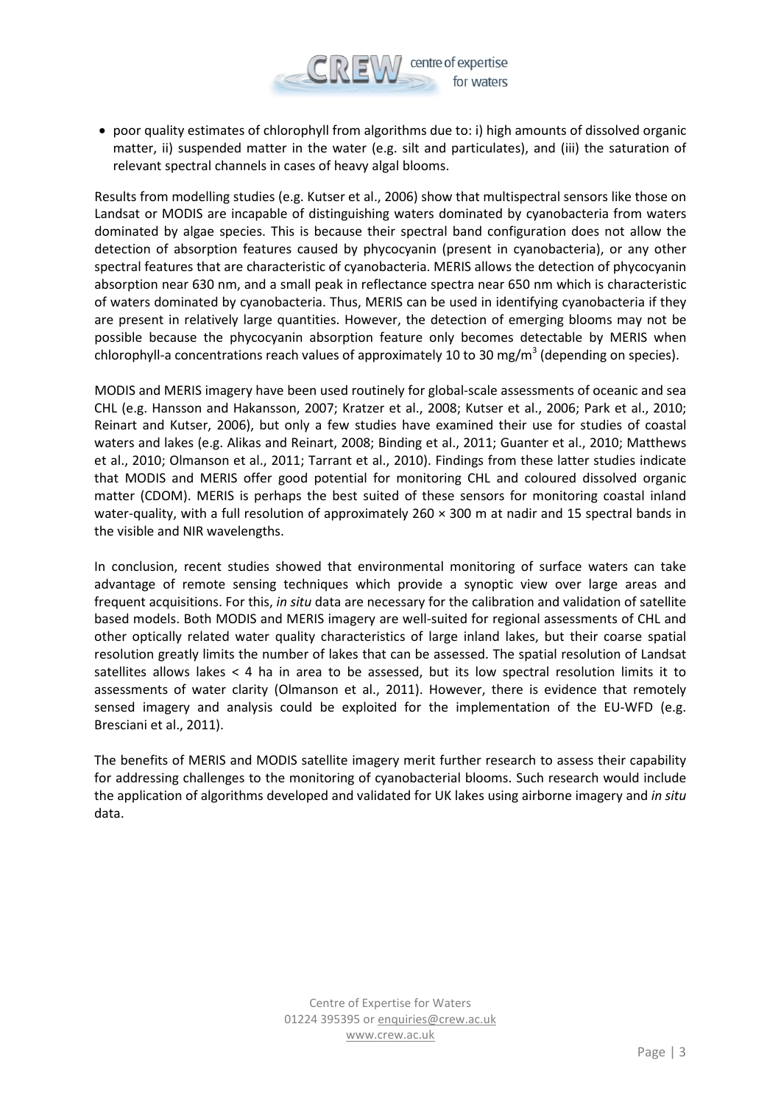

• poor quality estimates of chlorophyll from algorithms due to: i) high amounts of dissolved organic matter, ii) suspended matter in the water (e.g. silt and particulates), and (iii) the saturation of relevant spectral channels in cases of heavy algal blooms.

Results from modelling studies (e.g. Kutser et al., 2006) show that multispectral sensors like those on Landsat or MODIS are incapable of distinguishing waters dominated by cyanobacteria from waters dominated by algae species. This is because their spectral band configuration does not allow the detection of absorption features caused by phycocyanin (present in cyanobacteria), or any other spectral features that are characteristic of cyanobacteria. MERIS allows the detection of phycocyanin absorption near 630 nm, and a small peak in reflectance spectra near 650 nm which is characteristic of waters dominated by cyanobacteria. Thus, MERIS can be used in identifying cyanobacteria if they are present in relatively large quantities. However, the detection of emerging blooms may not be possible because the phycocyanin absorption feature only becomes detectable by MERIS when chlorophyll-a concentrations reach values of approximately 10 to 30 mg/m<sup>3</sup> (depending on species).

MODIS and MERIS imagery have been used routinely for global-scale assessments of oceanic and sea CHL (e.g. Hansson and Hakansson, 2007; Kratzer et al., 2008; Kutser et al., 2006; Park et al., 2010; Reinart and Kutser, 2006), but only a few studies have examined their use for studies of coastal waters and lakes (e.g. Alikas and Reinart, 2008; Binding et al., 2011; Guanter et al., 2010; Matthews et al., 2010; Olmanson et al., 2011; Tarrant et al., 2010). Findings from these latter studies indicate that MODIS and MERIS offer good potential for monitoring CHL and coloured dissolved organic matter (CDOM). MERIS is perhaps the best suited of these sensors for monitoring coastal inland water-quality, with a full resolution of approximately 260  $\times$  300 m at nadir and 15 spectral bands in the visible and NIR wavelengths.

In conclusion, recent studies showed that environmental monitoring of surface waters can take advantage of remote sensing techniques which provide a synoptic view over large areas and frequent acquisitions. For this, *in situ* data are necessary for the calibration and validation of satellite based models. Both MODIS and MERIS imagery are well-suited for regional assessments of CHL and other optically related water quality characteristics of large inland lakes, but their coarse spatial resolution greatly limits the number of lakes that can be assessed. The spatial resolution of Landsat satellites allows lakes < 4 ha in area to be assessed, but its low spectral resolution limits it to assessments of water clarity (Olmanson et al., 2011). However, there is evidence that remotely sensed imagery and analysis could be exploited for the implementation of the EU-WFD (e.g. Bresciani et al., 2011).

The benefits of MERIS and MODIS satellite imagery merit further research to assess their capability for addressing challenges to the monitoring of cyanobacterial blooms. Such research would include the application of algorithms developed and validated for UK lakes using airborne imagery and *in situ* data.

> Centre of Expertise for Waters 01224 395395 or [enquiries@crew.ac.uk](mailto:enquiries@crew.ac.uk) [www.crew.ac.uk](http://www.crew.ac.uk/)